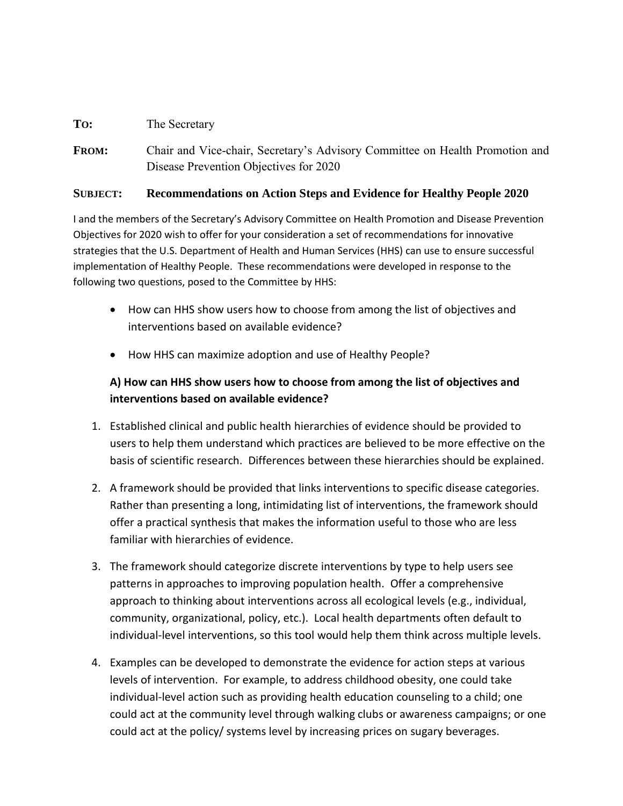## **TO:** The Secretary

**FROM:** Chair and Vice-chair, Secretary's Advisory Committee on Health Promotion and Disease Prevention Objectives for 2020

## **SUBJECT: Recommendations on Action Steps and Evidence for Healthy People 2020**

I and the members of the Secretary's Advisory Committee on Health Promotion and Disease Prevention Objectives for 2020 wish to offer for your consideration a set of recommendations for innovative strategies that the U.S. Department of Health and Human Services (HHS) can use to ensure successful implementation of Healthy People. These recommendations were developed in response to the following two questions, posed to the Committee by HHS:

- How can HHS show users how to choose from among the list of objectives and interventions based on available evidence?
- How HHS can maximize adoption and use of Healthy People?

## **A) How can HHS show users how to choose from among the list of objectives and interventions based on available evidence?**

- 1. Established clinical and public health hierarchies of evidence should be provided to users to help them understand which practices are believed to be more effective on the basis of scientific research. Differences between these hierarchies should be explained.
- 2. A framework should be provided that links interventions to specific disease categories. Rather than presenting a long, intimidating list of interventions, the framework should offer a practical synthesis that makes the information useful to those who are less familiar with hierarchies of evidence.
- 3. The framework should categorize discrete interventions by type to help users see patterns in approaches to improving population health. Offer a comprehensive approach to thinking about interventions across all ecological levels (e.g., individual, community, organizational, policy, etc.). Local health departments often default to individual-level interventions, so this tool would help them think across multiple levels.
- 4. Examples can be developed to demonstrate the evidence for action steps at various levels of intervention. For example, to address childhood obesity, one could take individual-level action such as providing health education counseling to a child; one could act at the community level through walking clubs or awareness campaigns; or one could act at the policy/ systems level by increasing prices on sugary beverages.